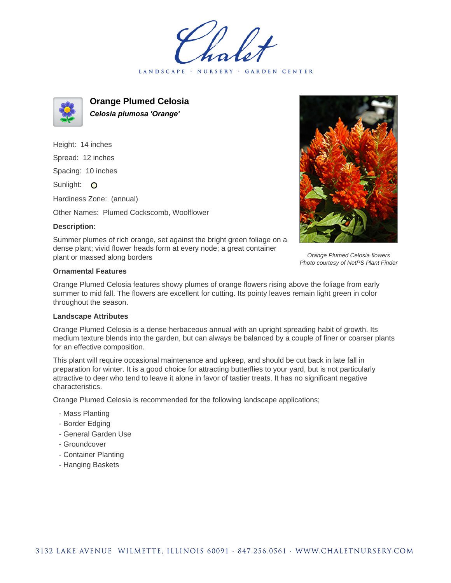LANDSCAPE · NURSERY **GARDEN CENTER** 



**Orange Plumed Celosia Celosia plumosa 'Orange'**

Height: 14 inches Spread: 12 inches Spacing: 10 inches Sunlight: O Hardiness Zone: (annual)

Other Names: Plumed Cockscomb, Woolflower

## **Description:**



Orange Plumed Celosia flowers Photo courtesy of NetPS Plant Finder

Summer plumes of rich orange, set against the bright green foliage on a dense plant; vivid flower heads form at every node; a great container plant or massed along borders

## **Ornamental Features**

Orange Plumed Celosia features showy plumes of orange flowers rising above the foliage from early summer to mid fall. The flowers are excellent for cutting. Its pointy leaves remain light green in color throughout the season.

## **Landscape Attributes**

Orange Plumed Celosia is a dense herbaceous annual with an upright spreading habit of growth. Its medium texture blends into the garden, but can always be balanced by a couple of finer or coarser plants for an effective composition.

This plant will require occasional maintenance and upkeep, and should be cut back in late fall in preparation for winter. It is a good choice for attracting butterflies to your yard, but is not particularly attractive to deer who tend to leave it alone in favor of tastier treats. It has no significant negative characteristics.

Orange Plumed Celosia is recommended for the following landscape applications;

- Mass Planting
- Border Edging
- General Garden Use
- Groundcover
- Container Planting
- Hanging Baskets